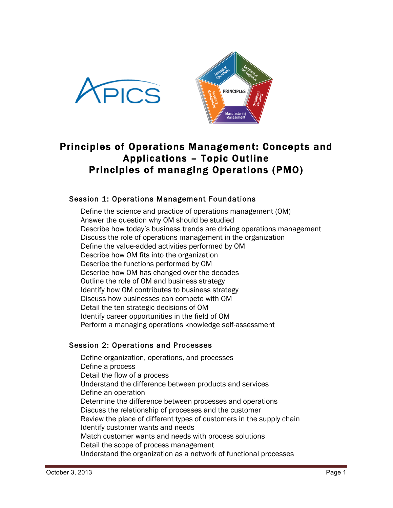



# Principles of Operations Management: Concepts and Applications – Topic Outline Principles of managing Operations (PMO)

# Session 1: Operations Management Foundations

Define the science and practice of operations management (OM) Answer the question why OM should be studied Describe how today's business trends are driving operations management Discuss the role of operations management in the organization Define the value-added activities performed by OM Describe how OM fits into the organization Describe the functions performed by OM Describe how OM has changed over the decades Outline the role of OM and business strategy Identify how OM contributes to business strategy Discuss how businesses can compete with OM Detail the ten strategic decisions of OM Identify career opportunities in the field of OM Perform a managing operations knowledge self-assessment

## Session 2: Operations and Processes

Define organization, operations, and processes Define a process Detail the flow of a process Understand the difference between products and services Define an operation Determine the difference between processes and operations Discuss the relationship of processes and the customer Review the place of different types of customers in the supply chain Identify customer wants and needs Match customer wants and needs with process solutions Detail the scope of process management Understand the organization as a network of functional processes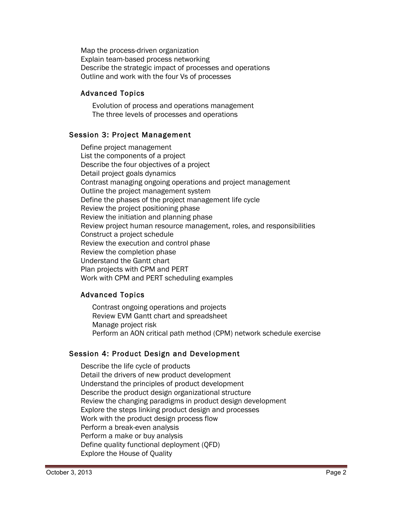Map the process-driven organization Explain team-based process networking Describe the strategic impact of processes and operations Outline and work with the four Vs of processes

# Advanced Topics

Evolution of process and operations management The three levels of processes and operations

# Session 3: Project Management

Define project management List the components of a project Describe the four objectives of a project Detail project goals dynamics Contrast managing ongoing operations and project management Outline the project management system Define the phases of the project management life cycle Review the project positioning phase Review the initiation and planning phase Review project human resource management, roles, and responsibilities Construct a project schedule Review the execution and control phase Review the completion phase Understand the Gantt chart Plan projects with CPM and PERT Work with CPM and PERT scheduling examples

# Advanced Topics

Contrast ongoing operations and projects Review EVM Gantt chart and spreadsheet Manage project risk Perform an AON critical path method (CPM) network schedule exercise

## Session 4: Product Design and Development

Describe the life cycle of products Detail the drivers of new product development Understand the principles of product development Describe the product design organizational structure Review the changing paradigms in product design development Explore the steps linking product design and processes Work with the product design process flow Perform a break-even analysis Perform a make or buy analysis Define quality functional deployment (QFD) Explore the House of Quality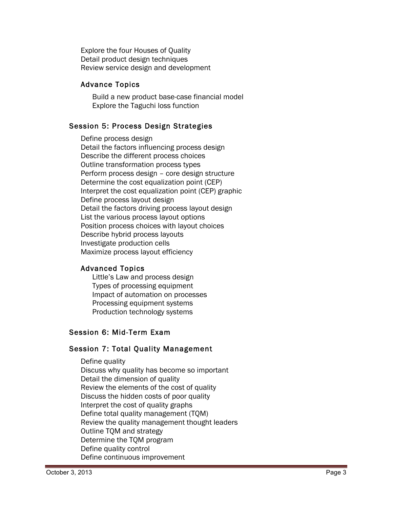Explore the four Houses of Quality Detail product design techniques Review service design and development

# Advance Topics

Build a new product base-case financial model Explore the Taguchi loss function

# Session 5: Process Design Strategies

Define process design<br>Detail the factors influencing process design<br>Describe the different process choices Outline transformation process types Perform process design – core design structure Determine the cost equalization point (CEP) Interpret the cost equalization point (CEP) graphic Define process layout design Detail the factors driving process layout design List the various process layout options Position process choices with layout choices Describe hybrid process layouts Investigate production cells Maximize process layout efficiency

## Advanced Topics

Little's Law and process design Types of processing equipment Impact of automation on processes Processing equipment systems Production technology systems

# Session 6: Mid-Term Exam

## Session 7: Total Quality Management

Define quality Discuss why quality has become so important Detail the dimension of quality Review the elements of the cost of quality Discuss the hidden costs of poor quality Interpret the cost of quality graphs Define total quality management (TQM) Review the quality management thought leaders Outline TQM and strategy Determine the TQM program Define quality control Define continuous improvement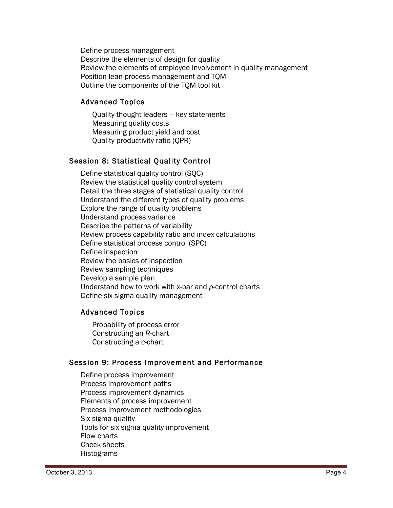Define process management Describe the elements of design for quality Review the elements of employee involvement in quality management Position lean process management and TQM Outline the components of the TQM tool kit

## Advanced Topics

Quality thought leaders – key statements Measuring quality costs Measuring product yield and cost Quality productivity ratio (QPR)

# Session 8: Statistical Quality Control

Define statistical quality control (SQC) Review the statistical quality control system Detail the three stages of statistical quality control Understand the different types of quality problems Explore the range of quality problems Understand process variance Describe the patterns of variability Review process capability ratio and index calculations Define statistical process control (SPC) Define inspection Review the basics of inspection Review sampling techniques Develop a sample plan Understand how to work with *x*-bar and *p*-control charts Define six sigma quality management

## Advanced Topics

Probability of process error Constructing an *R*-chart Constructing a *c*-chart

## Session 9: Process Improvement and Performance

Define process improvement Process improvement paths Process improvement dynamics Elements of process improvement Process improvement methodologies Six sigma quality Tools for six sigma quality improvement Flow charts Check sheets Histograms